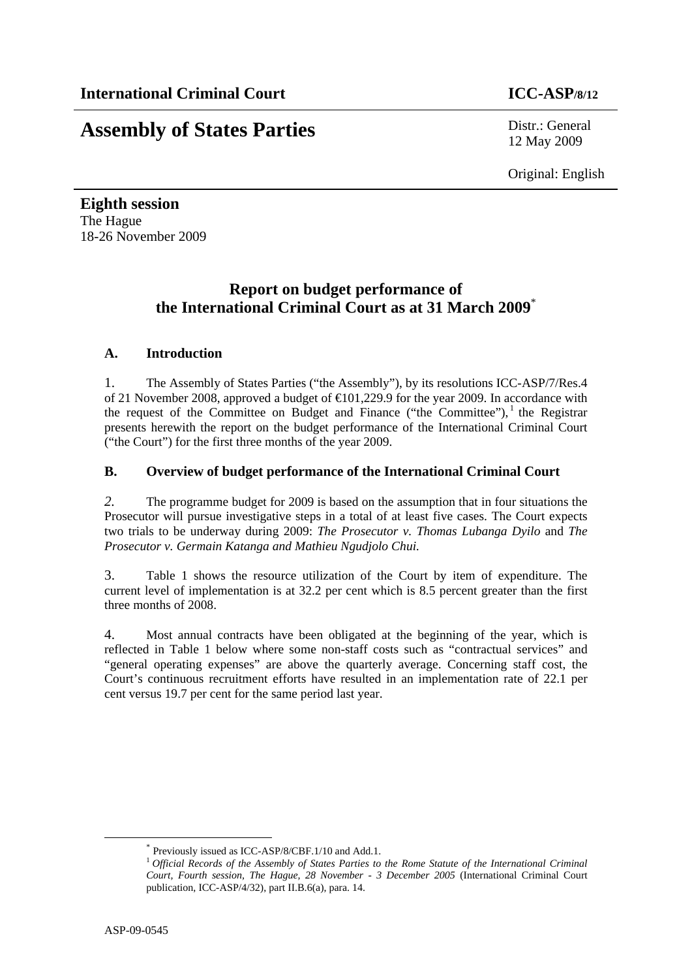# **Assembly of States Parties** Distr.: General

12 May 2009

Original: English

**Eighth session**  The Hague 18-26 November 2009

## **Report on budget performance of the International Criminal Court as at 31 March 2009**\*

### **A. Introduction**

1. The Assembly of States Parties ("the Assembly"), by its resolutions ICC-ASP/7/Res.4 of 21 November 2008, approved a budget of €101,229.9 for the year 2009. In accordance with the request of the Committee on Budget and Finance ("the Committee"), $<sup>1</sup>$  the Registrar</sup> presents herewith the report on the budget performance of the International Criminal Court ("the Court") for the first three months of the year 2009.

### **B. Overview of budget performance of the International Criminal Court**

*2.* The programme budget for 2009 is based on the assumption that in four situations the Prosecutor will pursue investigative steps in a total of at least five cases. The Court expects two trials to be underway during 2009: *The Prosecutor v. Thomas Lubanga Dyilo* and *The Prosecutor v. Germain Katanga and Mathieu Ngudjolo Chui.* 

3. Table 1 shows the resource utilization of the Court by item of expenditure. The current level of implementation is at 32.2 per cent which is 8.5 percent greater than the first three months of 2008.

4. Most annual contracts have been obligated at the beginning of the year, which is reflected in Table 1 below where some non-staff costs such as "contractual services" and "general operating expenses" are above the quarterly average. Concerning staff cost, the Court's continuous recruitment efforts have resulted in an implementation rate of 22.1 per cent versus 19.7 per cent for the same period last year.

 <sup>\*</sup> Previously issued as ICC-ASP/8/CBF.1/10 and Add.1.

<sup>1</sup> *Official Records of the Assembly of States Parties to the Rome Statute of the International Criminal Court, Fourth session, The Hague, 28 November - 3 December 2005* (International Criminal Court publication, ICC-ASP/4/32), part II.B.6(a), para. 14.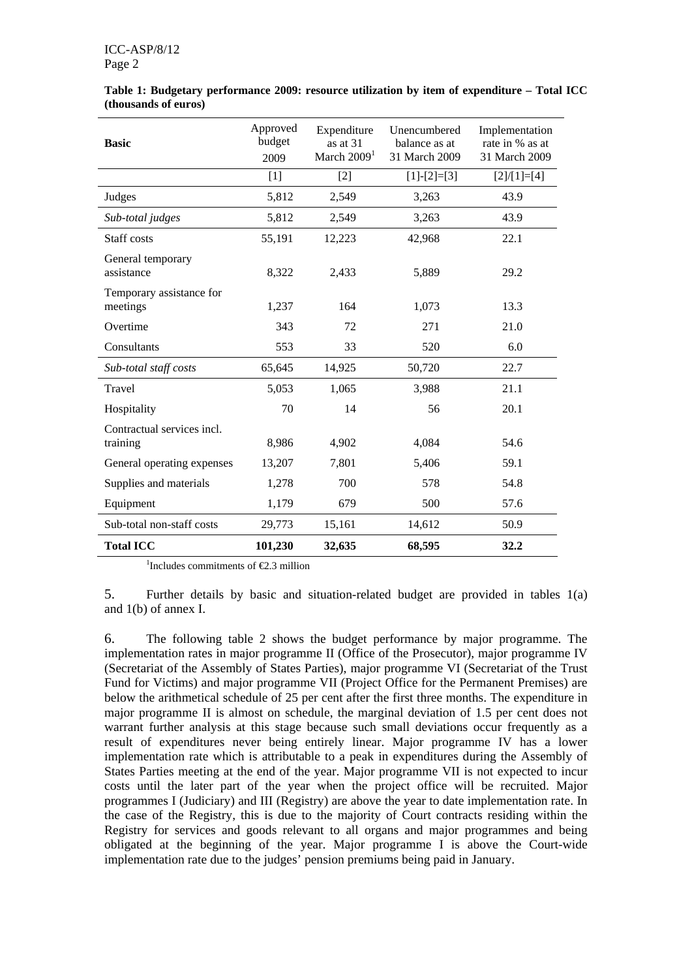| <b>Basic</b>                           | Approved<br>budget<br>2009 | Expenditure<br>Unencumbered<br>as at $31$<br>balance as at<br>March $20091$<br>31 March 2009 |               | Implementation<br>rate in % as at<br>31 March 2009 |
|----------------------------------------|----------------------------|----------------------------------------------------------------------------------------------|---------------|----------------------------------------------------|
|                                        | $[1]$                      | $[2]$                                                                                        | $[1]-[2]=[3]$ | $[2]/[1]=[4]$                                      |
| Judges                                 | 5,812                      | 2,549                                                                                        | 3,263         | 43.9                                               |
| Sub-total judges                       | 5,812                      | 2,549                                                                                        | 3,263         | 43.9                                               |
| Staff costs                            | 55,191                     | 12,223                                                                                       | 42,968        | 22.1                                               |
| General temporary<br>assistance        | 8,322                      | 2,433                                                                                        | 5,889         | 29.2                                               |
| Temporary assistance for<br>meetings   | 1,237                      | 164                                                                                          | 1,073         | 13.3                                               |
| Overtime                               | 343                        | 72                                                                                           | 271           | 21.0                                               |
| Consultants                            | 553                        | 33                                                                                           | 520           | 6.0                                                |
| Sub-total staff costs                  | 65,645                     | 14,925                                                                                       | 50,720        | 22.7                                               |
| Travel                                 | 5,053                      | 1,065                                                                                        | 3,988         | 21.1                                               |
| Hospitality                            | 70                         | 14                                                                                           | 56            | 20.1                                               |
| Contractual services incl.<br>training | 8,986                      | 4,902                                                                                        | 4,084         | 54.6                                               |
| General operating expenses             | 13,207                     | 7,801                                                                                        | 5,406         | 59.1                                               |
| Supplies and materials                 | 1,278                      | 700                                                                                          | 578           | 54.8                                               |
| Equipment                              | 1,179                      | 679                                                                                          | 500           | 57.6                                               |
| Sub-total non-staff costs              | 29,773                     | 15,161                                                                                       | 14,612        | 50.9                                               |
| <b>Total ICC</b>                       | 101,230                    | 32,635                                                                                       | 68,595        | 32.2                                               |

**Table 1: Budgetary performance 2009: resource utilization by item of expenditure – Total ICC (thousands of euros)** 

<sup>1</sup>Includes commitments of  $\epsilon$ 2.3 million

5. Further details by basic and situation-related budget are provided in tables 1(a) and 1(b) of annex I.

6. The following table 2 shows the budget performance by major programme. The implementation rates in major programme II (Office of the Prosecutor), major programme IV (Secretariat of the Assembly of States Parties), major programme VI (Secretariat of the Trust Fund for Victims) and major programme VII (Project Office for the Permanent Premises) are below the arithmetical schedule of 25 per cent after the first three months. The expenditure in major programme II is almost on schedule, the marginal deviation of 1.5 per cent does not warrant further analysis at this stage because such small deviations occur frequently as a result of expenditures never being entirely linear. Major programme IV has a lower implementation rate which is attributable to a peak in expenditures during the Assembly of States Parties meeting at the end of the year. Major programme VII is not expected to incur costs until the later part of the year when the project office will be recruited. Major programmes I (Judiciary) and III (Registry) are above the year to date implementation rate. In the case of the Registry, this is due to the majority of Court contracts residing within the Registry for services and goods relevant to all organs and major programmes and being obligated at the beginning of the year. Major programme I is above the Court-wide implementation rate due to the judges' pension premiums being paid in January.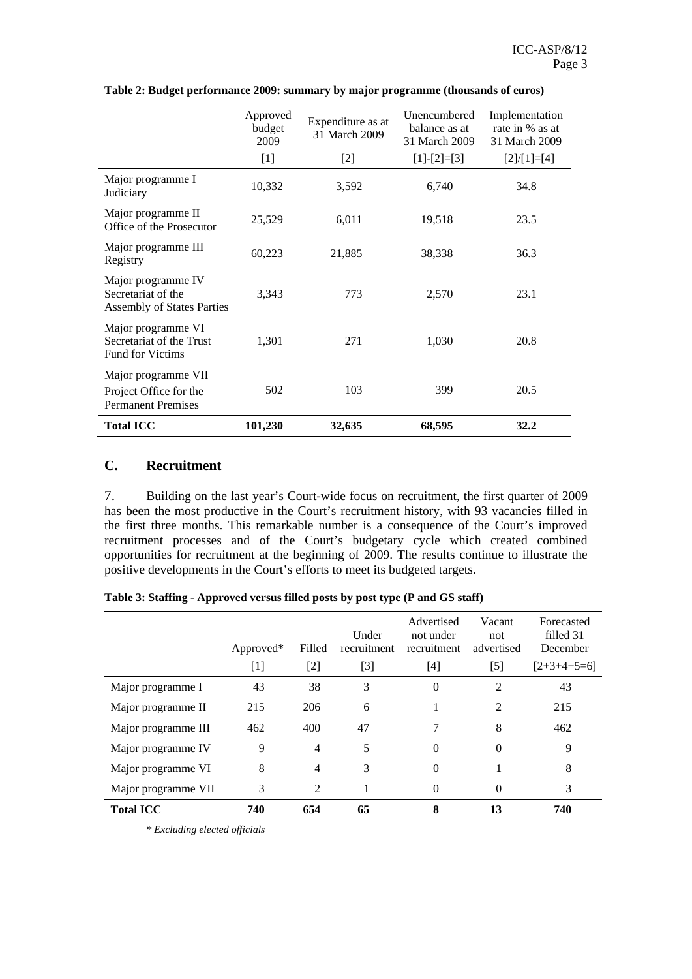|                                                                               | Approved<br>budget<br>2009 | Expenditure as at<br>31 March 2009 | Unencumbered<br>balance as at<br>31 March 2009 | Implementation<br>rate in % as at<br>31 March 2009 |
|-------------------------------------------------------------------------------|----------------------------|------------------------------------|------------------------------------------------|----------------------------------------------------|
|                                                                               | $[1]$                      | $[2]$                              | $[1]-[2]=[3]$                                  | $[2]/[1]=[4]$                                      |
| Major programme I<br>Judiciary                                                | 10,332                     | 3,592                              | 6,740                                          | 34.8                                               |
| Major programme II<br>Office of the Prosecutor                                | 25,529                     | 6,011                              | 19,518                                         | 23.5                                               |
| Major programme III<br>Registry                                               | 60,223                     | 21,885                             | 38,338                                         | 36.3                                               |
| Major programme IV<br>Secretariat of the<br><b>Assembly of States Parties</b> | 3,343                      | 773                                | 2,570                                          | 23.1                                               |
| Major programme VI<br>Secretariat of the Trust<br><b>Fund for Victims</b>     | 1,301                      | 271                                | 1,030                                          | 20.8                                               |
| Major programme VII<br>Project Office for the<br><b>Permanent Premises</b>    | 502                        | 103                                | 399                                            | 20.5                                               |
| <b>Total ICC</b>                                                              | 101,230                    | 32,635                             | 68,595                                         | 32.2                                               |

**Table 2: Budget performance 2009: summary by major programme (thousands of euros)** 

### **C. Recruitment**

7. Building on the last year's Court-wide focus on recruitment, the first quarter of 2009 has been the most productive in the Court's recruitment history, with 93 vacancies filled in the first three months. This remarkable number is a consequence of the Court's improved recruitment processes and of the Court's budgetary cycle which created combined opportunities for recruitment at the beginning of 2009. The results continue to illustrate the positive developments in the Court's efforts to meet its budgeted targets.

|  | Table 3: Staffing - Approved versus filled posts by post type (P and GS staff) |  |  |
|--|--------------------------------------------------------------------------------|--|--|
|  |                                                                                |  |  |

|                     | Approved* | Filled         | Under<br>recruitment | Advertised<br>not under<br>recruitment | Vacant<br>not<br>advertised | Forecasted<br>filled 31<br>December |
|---------------------|-----------|----------------|----------------------|----------------------------------------|-----------------------------|-------------------------------------|
|                     | $[1]$     | $[2]$          | [3]                  | $[4]$                                  | $[5]$                       | $[2+3+4+5=6]$                       |
| Major programme I   | 43        | 38             | 3                    | $\theta$                               | $\overline{\mathcal{L}}$    | 43                                  |
| Major programme II  | 215       | 206            | 6                    |                                        | $\mathfrak{D}$              | 215                                 |
| Major programme III | 462       | 400            | 47                   |                                        | 8                           | 462                                 |
| Major programme IV  | 9         | 4              | 5                    | 0                                      | $\Omega$                    | 9                                   |
| Major programme VI  | 8         | 4              | 3                    | $\Omega$                               |                             | 8                                   |
| Major programme VII | 3         | $\overline{2}$ |                      | $\Omega$                               | $\Omega$                    | 3                                   |
| <b>Total ICC</b>    | 740       | 654            | 65                   | 8                                      | 13                          | 740                                 |

*\* Excluding elected officials*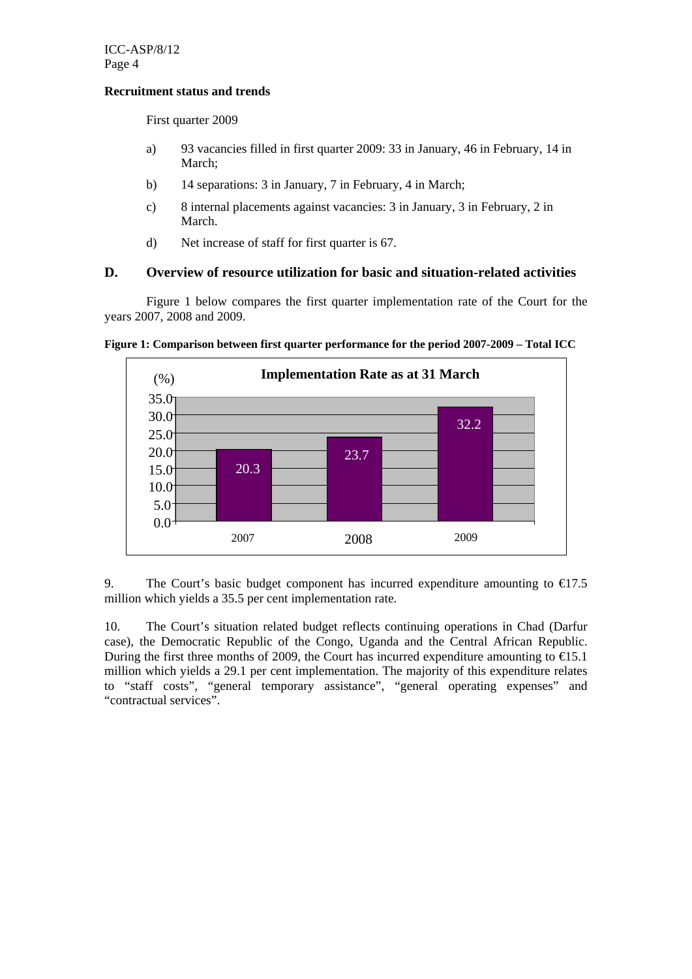#### **Recruitment status and trends**

First quarter 2009

- a) 93 vacancies filled in first quarter 2009: 33 in January, 46 in February, 14 in March;
- b) 14 separations: 3 in January, 7 in February, 4 in March;
- c) 8 internal placements against vacancies: 3 in January, 3 in February, 2 in March.
- d) Net increase of staff for first quarter is 67.

### **D. Overview of resource utilization for basic and situation-related activities**

Figure 1 below compares the first quarter implementation rate of the Court for the years 2007, 2008 and 2009.





9. The Court's basic budget component has incurred expenditure amounting to  $\epsilon$  7.5 million which yields a 35.5 per cent implementation rate.

10. The Court's situation related budget reflects continuing operations in Chad (Darfur case), the Democratic Republic of the Congo, Uganda and the Central African Republic. During the first three months of 2009, the Court has incurred expenditure amounting to  $\epsilon$ 15.1 million which yields a 29.1 per cent implementation. The majority of this expenditure relates to "staff costs", "general temporary assistance", "general operating expenses" and "contractual services".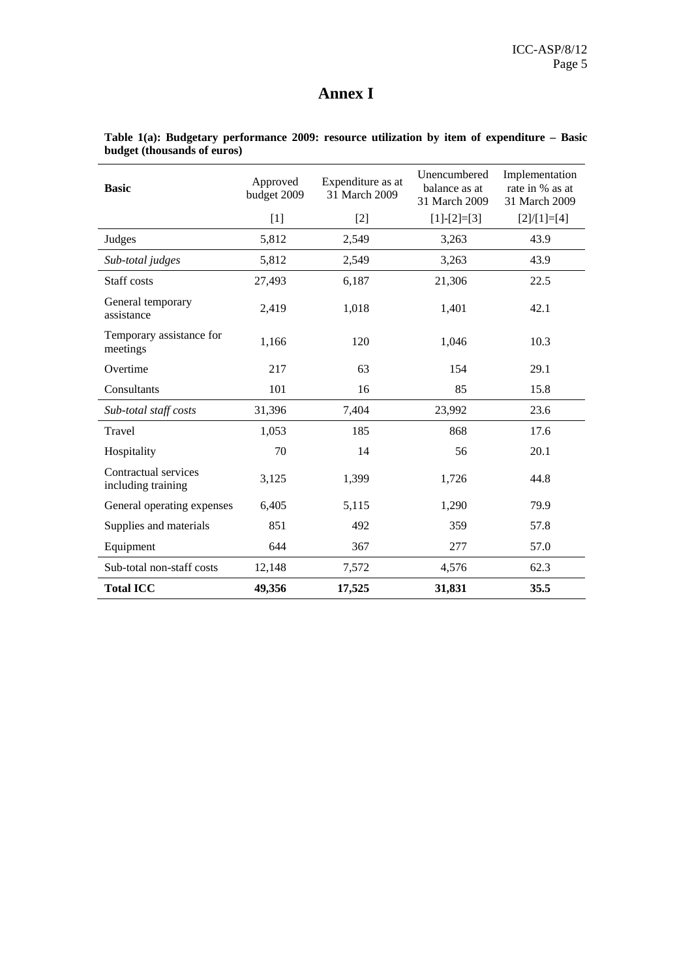# **Annex I**

| <b>Basic</b>                               | Approved<br>budget 2009 | Expenditure as at<br>31 March 2009 | Unencumbered<br>balance as at<br>31 March 2009 | Implementation<br>rate in % as at<br>31 March 2009 |
|--------------------------------------------|-------------------------|------------------------------------|------------------------------------------------|----------------------------------------------------|
|                                            | $[1]$                   | $[2]$                              | $[1]-[2]=[3]$                                  | $[2]/[1]=[4]$                                      |
| Judges                                     | 5,812                   | 2,549                              | 3,263                                          | 43.9                                               |
| Sub-total judges                           | 5,812                   | 2,549                              | 3,263                                          | 43.9                                               |
| Staff costs                                | 27,493                  | 6,187                              | 21,306                                         | 22.5                                               |
| General temporary<br>assistance            | 2,419                   | 1,018                              | 1,401                                          | 42.1                                               |
| Temporary assistance for<br>meetings       | 1,166                   | 120                                | 1,046                                          | 10.3                                               |
| Overtime                                   | 217                     | 63                                 | 154                                            | 29.1                                               |
| Consultants                                | 101                     | 16                                 | 85                                             | 15.8                                               |
| Sub-total staff costs                      | 31,396                  | 7,404                              | 23,992                                         | 23.6                                               |
| Travel                                     | 1,053                   | 185                                | 868                                            | 17.6                                               |
| Hospitality                                | 70                      | 14                                 | 56                                             | 20.1                                               |
| Contractual services<br>including training | 3,125                   | 1,399                              | 1,726                                          | 44.8                                               |
| General operating expenses                 | 6,405                   | 5,115                              | 1,290                                          | 79.9                                               |
| Supplies and materials                     | 851                     | 492                                | 359                                            | 57.8                                               |
| Equipment                                  | 644                     | 367                                | 277                                            | 57.0                                               |
| Sub-total non-staff costs                  | 12,148                  | 7,572                              | 4,576                                          | 62.3                                               |
| <b>Total ICC</b>                           | 49,356                  | 17,525                             | 31,831                                         | 35.5                                               |

**Table 1(a): Budgetary performance 2009: resource utilization by item of expenditure – Basic budget (thousands of euros)**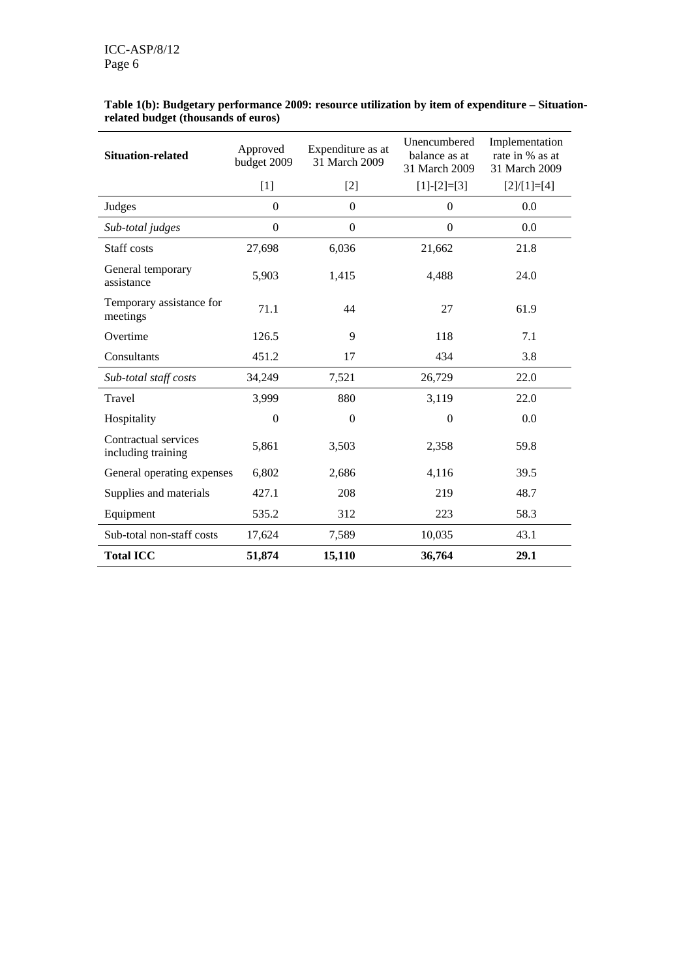| <b>Situation-related</b>                   | Approved<br>budget 2009 | Expenditure as at<br>31 March 2009 |                  | Implementation<br>rate in % as at<br>31 March 2009 |
|--------------------------------------------|-------------------------|------------------------------------|------------------|----------------------------------------------------|
|                                            | $[1]$                   | $[2]$                              | $[1]-[2]=[3]$    | $[2]/[1]=[4]$                                      |
| Judges                                     | $\mathbf{0}$            | $\mathbf{0}$                       | $\boldsymbol{0}$ | 0.0                                                |
| Sub-total judges                           | $\boldsymbol{0}$        | $\boldsymbol{0}$                   | $\boldsymbol{0}$ | 0.0                                                |
| Staff costs                                | 27,698                  | 6,036                              | 21,662           | 21.8                                               |
| General temporary<br>assistance            | 5,903                   | 1,415                              | 4,488            | 24.0                                               |
| Temporary assistance for<br>meetings       | 71.1                    | 44                                 | 27               | 61.9                                               |
| Overtime                                   | 126.5                   | 9                                  | 118              | 7.1                                                |
| Consultants                                | 451.2                   | 17                                 | 434              | 3.8                                                |
| Sub-total staff costs                      | 34,249                  | 7,521                              | 26,729           | 22.0                                               |
| Travel                                     | 3,999                   | 880                                | 3,119            | 22.0                                               |
| Hospitality                                | $\theta$                | $\Omega$                           | $\theta$         | 0.0                                                |
| Contractual services<br>including training | 5,861                   | 3,503                              | 2,358            | 59.8                                               |
| General operating expenses                 | 6,802                   | 2,686                              | 4,116            | 39.5                                               |
| Supplies and materials                     | 427.1                   | 208                                | 219              | 48.7                                               |
| Equipment                                  | 535.2                   | 312                                | 223              | 58.3                                               |
| Sub-total non-staff costs                  | 17,624                  | 7,589                              | 10,035           | 43.1                                               |
| <b>Total ICC</b>                           | 51,874                  | 15,110                             | 36,764           | 29.1                                               |

#### **Table 1(b): Budgetary performance 2009: resource utilization by item of expenditure – Situationrelated budget (thousands of euros)**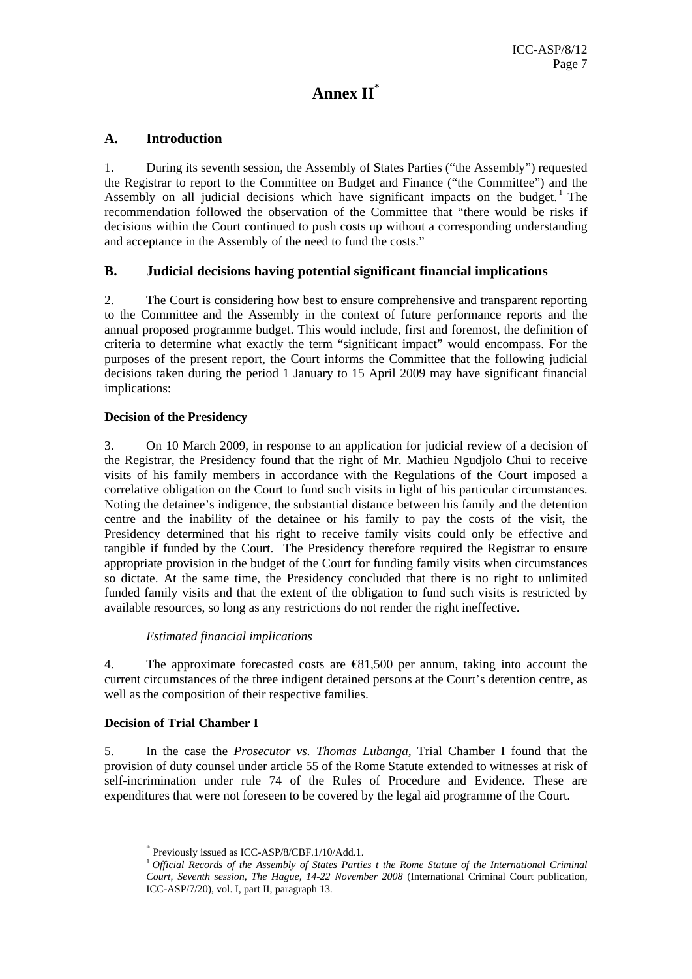# **Annex II**\*

### **A. Introduction**

1. During its seventh session, the Assembly of States Parties ("the Assembly") requested the Registrar to report to the Committee on Budget and Finance ("the Committee") and the Assembly on all judicial decisions which have significant impacts on the budget.<sup>1</sup> The recommendation followed the observation of the Committee that "there would be risks if decisions within the Court continued to push costs up without a corresponding understanding and acceptance in the Assembly of the need to fund the costs."

### **B. Judicial decisions having potential significant financial implications**

2. The Court is considering how best to ensure comprehensive and transparent reporting to the Committee and the Assembly in the context of future performance reports and the annual proposed programme budget. This would include, first and foremost, the definition of criteria to determine what exactly the term "significant impact" would encompass. For the purposes of the present report, the Court informs the Committee that the following judicial decisions taken during the period 1 January to 15 April 2009 may have significant financial implications:

### **Decision of the Presidency**

3. On 10 March 2009, in response to an application for judicial review of a decision of the Registrar, the Presidency found that the right of Mr. Mathieu Ngudjolo Chui to receive visits of his family members in accordance with the Regulations of the Court imposed a correlative obligation on the Court to fund such visits in light of his particular circumstances. Noting the detainee's indigence, the substantial distance between his family and the detention centre and the inability of the detainee or his family to pay the costs of the visit, the Presidency determined that his right to receive family visits could only be effective and tangible if funded by the Court. The Presidency therefore required the Registrar to ensure appropriate provision in the budget of the Court for funding family visits when circumstances so dictate. At the same time, the Presidency concluded that there is no right to unlimited funded family visits and that the extent of the obligation to fund such visits is restricted by available resources, so long as any restrictions do not render the right ineffective.

### *Estimated financial implications*

4. The approximate forecasted costs are €81,500 per annum, taking into account the current circumstances of the three indigent detained persons at the Court's detention centre, as well as the composition of their respective families.

### **Decision of Trial Chamber I**

5. In the case the *Prosecutor vs. Thomas Lubanga*, Trial Chamber I found that the provision of duty counsel under article 55 of the Rome Statute extended to witnesses at risk of self-incrimination under rule 74 of the Rules of Procedure and Evidence. These are expenditures that were not foreseen to be covered by the legal aid programme of the Court.

 <sup>\*</sup> Previously issued as ICC-ASP/8/CBF.1/10/Add.1.

<sup>1</sup> *Official Records of the Assembly of States Parties t the Rome Statute of the International Criminal Court, Seventh session, The Hague, 14-22 November 2008* (International Criminal Court publication, ICC-ASP/7/20), vol. I, part II, paragraph 13.